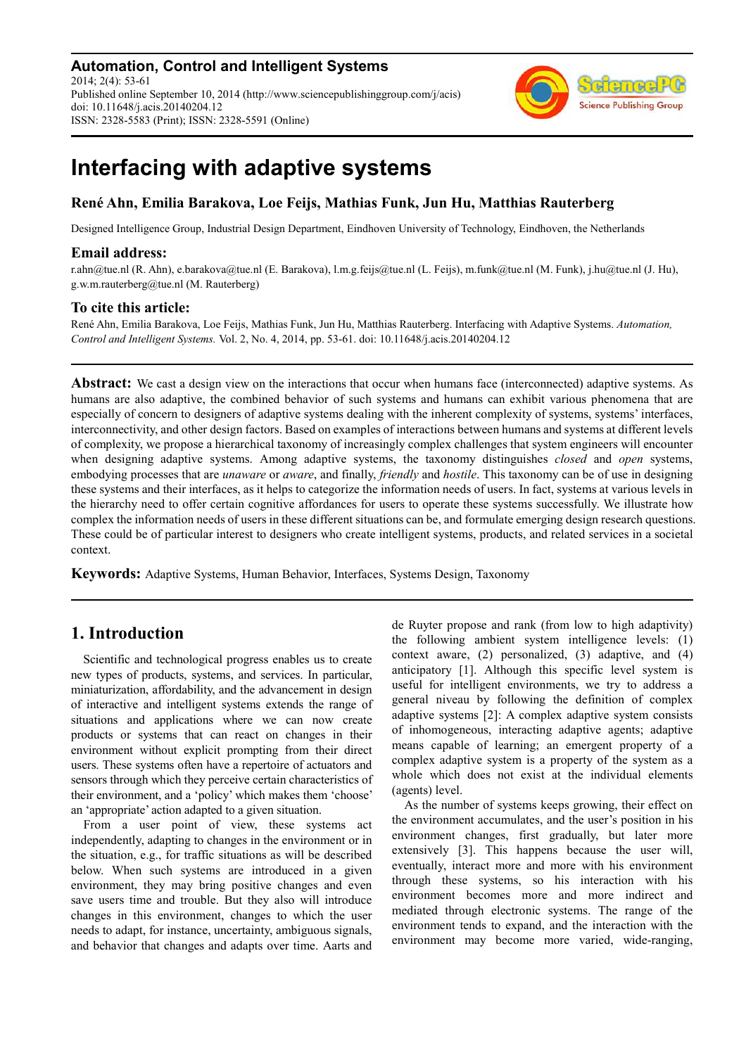**Automation, Control and Intelligent Systems** 2014; 2(4): 53-61 Published online September 10, 2014 (http://www.sciencepublishinggroup.com/j/acis) doi: 10.11648/j.acis.20140204.12 ISSN: 2328-5583 (Print); ISSN: 2328-5591 (Online)



# **Interfacing with adaptive systems**

# **René Ahn, Emilia Barakova, Loe Feijs, Mathias Funk, Jun Hu, Matthias Rauterberg**

Designed Intelligence Group, Industrial Design Department, Eindhoven University of Technology, Eindhoven, the Netherlands

## **Email address:**

r.ahn@tue.nl (R. Ahn), e.barakova@tue.nl (E. Barakova), l.m.g.feijs@tue.nl (L. Feijs), m.funk@tue.nl (M. Funk), j.hu@tue.nl (J. Hu), g.w.m.rauterberg@tue.nl (M. Rauterberg)

## **To cite this article:**

René Ahn, Emilia Barakova, Loe Feijs, Mathias Funk, Jun Hu, Matthias Rauterberg. Interfacing with Adaptive Systems. *Automation, Control and Intelligent Systems.* Vol. 2, No. 4, 2014, pp. 53-61. doi: 10.11648/j.acis.20140204.12

**Abstract:** We cast a design view on the interactions that occur when humans face (interconnected) adaptive systems. As humans are also adaptive, the combined behavior of such systems and humans can exhibit various phenomena that are especially of concern to designers of adaptive systems dealing with the inherent complexity of systems, systems' interfaces, interconnectivity, and other design factors. Based on examples of interactions between humans and systems at different levels of complexity, we propose a hierarchical taxonomy of increasingly complex challenges that system engineers will encounter when designing adaptive systems. Among adaptive systems, the taxonomy distinguishes *closed* and *open* systems, embodying processes that are *unaware* or *aware*, and finally, *friendly* and *hostile*. This taxonomy can be of use in designing these systems and their interfaces, as it helps to categorize the information needs of users. In fact, systems at various levels in the hierarchy need to offer certain cognitive affordances for users to operate these systems successfully. We illustrate how complex the information needs of users in these different situations can be, and formulate emerging design research questions. These could be of particular interest to designers who create intelligent systems, products, and related services in a societal context.

**Keywords:** Adaptive Systems, Human Behavior, Interfaces, Systems Design, Taxonomy

# **1. Introduction**

Scientific and technological progress enables us to create new types of products, systems, and services. In particular, miniaturization, affordability, and the advancement in design of interactive and intelligent systems extends the range of situations and applications where we can now create products or systems that can react on changes in their environment without explicit prompting from their direct users. These systems often have a repertoire of actuators and sensors through which they perceive certain characteristics of their environment, and a 'policy' which makes them 'choose' an 'appropriate' action adapted to a given situation.

From a user point of view, these systems act independently, adapting to changes in the environment or in the situation, e.g., for traffic situations as will be described below. When such systems are introduced in a given environment, they may bring positive changes and even save users time and trouble. But they also will introduce changes in this environment, changes to which the user needs to adapt, for instance, uncertainty, ambiguous signals, and behavior that changes and adapts over time. Aarts and de Ruyter propose and rank (from low to high adaptivity) the following ambient system intelligence levels: (1) context aware, (2) personalized, (3) adaptive, and (4) anticipatory [1]. Although this specific level system is useful for intelligent environments, we try to address a general niveau by following the definition of complex adaptive systems [2]: A complex adaptive system consists of inhomogeneous, interacting adaptive agents; adaptive means capable of learning; an emergent property of a complex adaptive system is a property of the system as a whole which does not exist at the individual elements (agents) level.

As the number of systems keeps growing, their effect on the environment accumulates, and the user's position in his environment changes, first gradually, but later more extensively [3]. This happens because the user will, eventually, interact more and more with his environment through these systems, so his interaction with his environment becomes more and more indirect and mediated through electronic systems. The range of the environment tends to expand, and the interaction with the environment may become more varied, wide-ranging,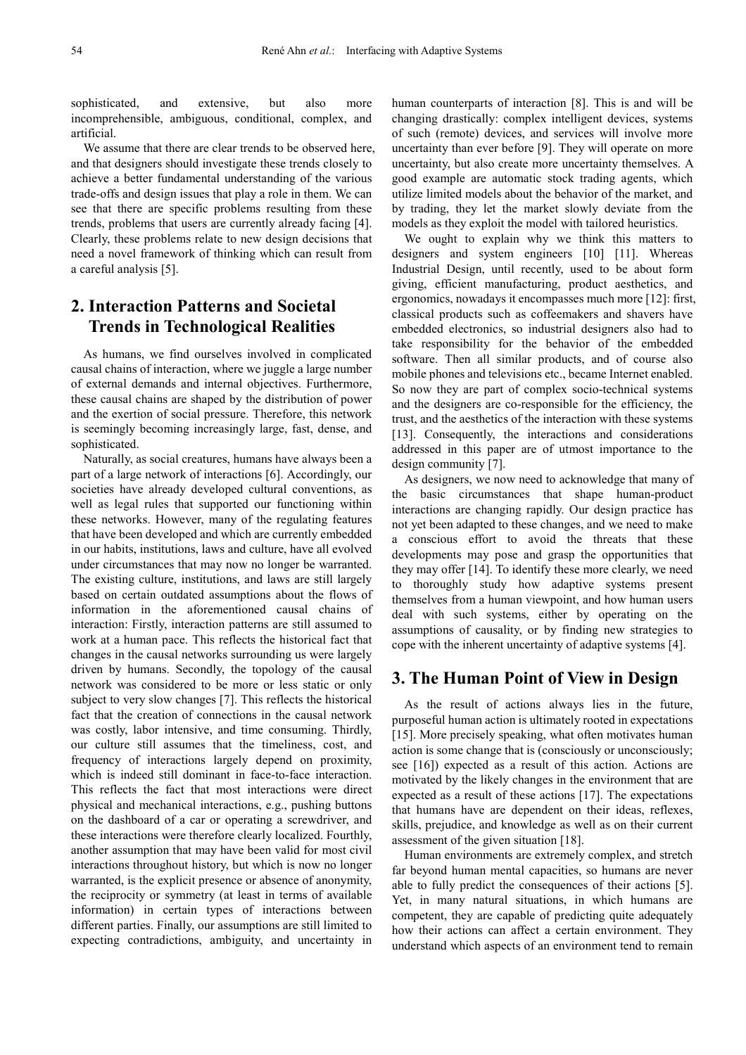sophisticated, and extensive, but also more incomprehensible, ambiguous, conditional, complex, and artificial.

We assume that there are clear trends to be observed here. and that designers should investigate these trends closely to achieve a better fundamental understanding of the various trade-offs and design issues that play a role in them. We can see that there are specific problems resulting from these trends, problems that users are currently already facing [4]. Clearly, these problems relate to new design decisions that need a novel framework of thinking which can result from a careful analysis [5].

# **2. Interaction Patterns and Societal Trends in Technological Realities**

As humans, we find ourselves involved in complicated causal chains of interaction, where we juggle a large number of external demands and internal objectives. Furthermore, these causal chains are shaped by the distribution of power and the exertion of social pressure. Therefore, this network is seemingly becoming increasingly large, fast, dense, and sophisticated.

Naturally, as social creatures, humans have always been a part of a large network of interactions [6]. Accordingly, our societies have already developed cultural conventions, as well as legal rules that supported our functioning within these networks. However, many of the regulating features that have been developed and which are currently embedded in our habits, institutions, laws and culture, have all evolved under circumstances that may now no longer be warranted. The existing culture, institutions, and laws are still largely based on certain outdated assumptions about the flows of information in the aforementioned causal chains of interaction: Firstly, interaction patterns are still assumed to work at a human pace. This reflects the historical fact that changes in the causal networks surrounding us were largely driven by humans. Secondly, the topology of the causal network was considered to be more or less static or only subject to very slow changes [7]. This reflects the historical fact that the creation of connections in the causal network was costly, labor intensive, and time consuming. Thirdly, our culture still assumes that the timeliness, cost, and frequency of interactions largely depend on proximity, which is indeed still dominant in face-to-face interaction. This reflects the fact that most interactions were direct physical and mechanical interactions, e.g., pushing buttons on the dashboard of a car or operating a screwdriver, and these interactions were therefore clearly localized. Fourthly, another assumption that may have been valid for most civil interactions throughout history, but which is now no longer warranted, is the explicit presence or absence of anonymity, the reciprocity or symmetry (at least in terms of available information) in certain types of interactions between different parties. Finally, our assumptions are still limited to expecting contradictions, ambiguity, and uncertainty in

human counterparts of interaction [8]. This is and will be changing drastically: complex intelligent devices, systems of such (remote) devices, and services will involve more uncertainty than ever before [9]. They will operate on more uncertainty, but also create more uncertainty themselves. A good example are automatic stock trading agents, which utilize limited models about the behavior of the market, and by trading, they let the market slowly deviate from the models as they exploit the model with tailored heuristics.

We ought to explain why we think this matters to designers and system engineers [10] [11]. Whereas Industrial Design, until recently, used to be about form giving, efficient manufacturing, product aesthetics, and ergonomics, nowadays it encompasses much more [12]: first, classical products such as coffeemakers and shavers have embedded electronics, so industrial designers also had to take responsibility for the behavior of the embedded software. Then all similar products, and of course also mobile phones and televisions etc., became Internet enabled. So now they are part of complex socio-technical systems and the designers are co-responsible for the efficiency, the trust, and the aesthetics of the interaction with these systems [13]. Consequently, the interactions and considerations addressed in this paper are of utmost importance to the design community [7].

As designers, we now need to acknowledge that many of the basic circumstances that shape human-product interactions are changing rapidly. Our design practice has not yet been adapted to these changes, and we need to make a conscious effort to avoid the threats that these developments may pose and grasp the opportunities that they may offer [14]. To identify these more clearly, we need to thoroughly study how adaptive systems present themselves from a human viewpoint, and how human users deal with such systems, either by operating on the assumptions of causality, or by finding new strategies to cope with the inherent uncertainty of adaptive systems [4].

# **3. The Human Point of View in Design**

As the result of actions always lies in the future, purposeful human action is ultimately rooted in expectations [15]. More precisely speaking, what often motivates human action is some change that is (consciously or unconsciously; see [16]) expected as a result of this action. Actions are motivated by the likely changes in the environment that are expected as a result of these actions [17]. The expectations that humans have are dependent on their ideas, reflexes, skills, prejudice, and knowledge as well as on their current assessment of the given situation [18].

Human environments are extremely complex, and stretch far beyond human mental capacities, so humans are never able to fully predict the consequences of their actions [5]. Yet, in many natural situations, in which humans are competent, they are capable of predicting quite adequately how their actions can affect a certain environment. They understand which aspects of an environment tend to remain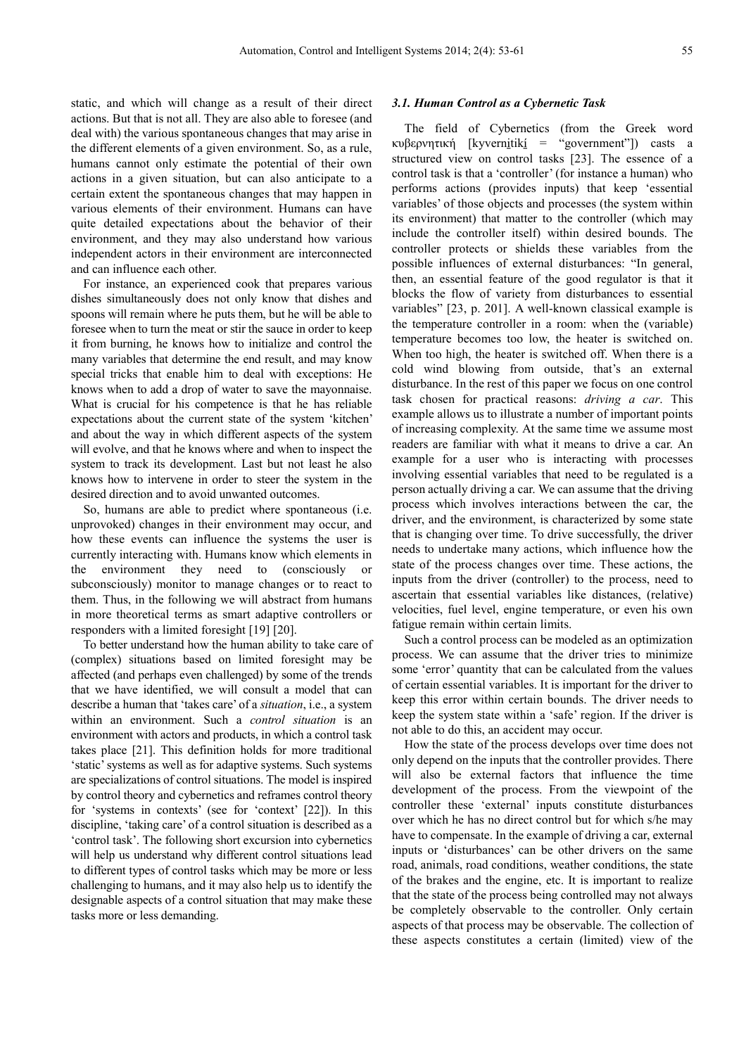static, and which will change as a result of their direct actions. But that is not all. They are also able to foresee (and deal with) the various spontaneous changes that may arise in the different elements of a given environment. So, as a rule, humans cannot only estimate the potential of their own actions in a given situation, but can also anticipate to a certain extent the spontaneous changes that may happen in various elements of their environment. Humans can have quite detailed expectations about the behavior of their environment, and they may also understand how various independent actors in their environment are interconnected and can influence each other.

For instance, an experienced cook that prepares various dishes simultaneously does not only know that dishes and spoons will remain where he puts them, but he will be able to foresee when to turn the meat or stir the sauce in order to keep it from burning, he knows how to initialize and control the many variables that determine the end result, and may know special tricks that enable him to deal with exceptions: He knows when to add a drop of water to save the mayonnaise. What is crucial for his competence is that he has reliable expectations about the current state of the system 'kitchen' and about the way in which different aspects of the system will evolve, and that he knows where and when to inspect the system to track its development. Last but not least he also knows how to intervene in order to steer the system in the desired direction and to avoid unwanted outcomes.

So, humans are able to predict where spontaneous (i.e. unprovoked) changes in their environment may occur, and how these events can influence the systems the user is currently interacting with. Humans know which elements in the environment they need to (consciously or subconsciously) monitor to manage changes or to react to them. Thus, in the following we will abstract from humans in more theoretical terms as smart adaptive controllers or responders with a limited foresight [19] [20].

To better understand how the human ability to take care of (complex) situations based on limited foresight may be affected (and perhaps even challenged) by some of the trends that we have identified, we will consult a model that can describe a human that 'takes care' of a *situation*, i.e., a system within an environment. Such a *control situation* is an environment with actors and products, in which a control task takes place [21]. This definition holds for more traditional 'static' systems as well as for adaptive systems. Such systems are specializations of control situations. The model is inspired by control theory and cybernetics and reframes control theory for 'systems in contexts' (see for 'context' [22]). In this discipline, 'taking care' of a control situation is described as a 'control task'. The following short excursion into cybernetics will help us understand why different control situations lead to different types of control tasks which may be more or less challenging to humans, and it may also help us to identify the designable aspects of a control situation that may make these tasks more or less demanding.

#### *3.1. Human Control as a Cybernetic Task*

The field of Cybernetics (from the Greek word κυβερνητική [kyverni̱tikí̱ = "government"]) casts a structured view on control tasks [23]. The essence of a control task is that a 'controller' (for instance a human) who performs actions (provides inputs) that keep 'essential variables' of those objects and processes (the system within its environment) that matter to the controller (which may include the controller itself) within desired bounds. The controller protects or shields these variables from the possible influences of external disturbances: "In general, then, an essential feature of the good regulator is that it blocks the flow of variety from disturbances to essential variables" [23, p. 201]. A well-known classical example is the temperature controller in a room: when the (variable) temperature becomes too low, the heater is switched on. When too high, the heater is switched off. When there is a cold wind blowing from outside, that's an external disturbance. In the rest of this paper we focus on one control task chosen for practical reasons: *driving a car*. This example allows us to illustrate a number of important points of increasing complexity. At the same time we assume most readers are familiar with what it means to drive a car. An example for a user who is interacting with processes involving essential variables that need to be regulated is a person actually driving a car. We can assume that the driving process which involves interactions between the car, the driver, and the environment, is characterized by some state that is changing over time. To drive successfully, the driver needs to undertake many actions, which influence how the state of the process changes over time. These actions, the inputs from the driver (controller) to the process, need to ascertain that essential variables like distances, (relative) velocities, fuel level, engine temperature, or even his own fatigue remain within certain limits.

Such a control process can be modeled as an optimization process. We can assume that the driver tries to minimize some 'error' quantity that can be calculated from the values of certain essential variables. It is important for the driver to keep this error within certain bounds. The driver needs to keep the system state within a 'safe' region. If the driver is not able to do this, an accident may occur.

How the state of the process develops over time does not only depend on the inputs that the controller provides. There will also be external factors that influence the time development of the process. From the viewpoint of the controller these 'external' inputs constitute disturbances over which he has no direct control but for which s/he may have to compensate. In the example of driving a car, external inputs or 'disturbances' can be other drivers on the same road, animals, road conditions, weather conditions, the state of the brakes and the engine, etc. It is important to realize that the state of the process being controlled may not always be completely observable to the controller. Only certain aspects of that process may be observable. The collection of these aspects constitutes a certain (limited) view of the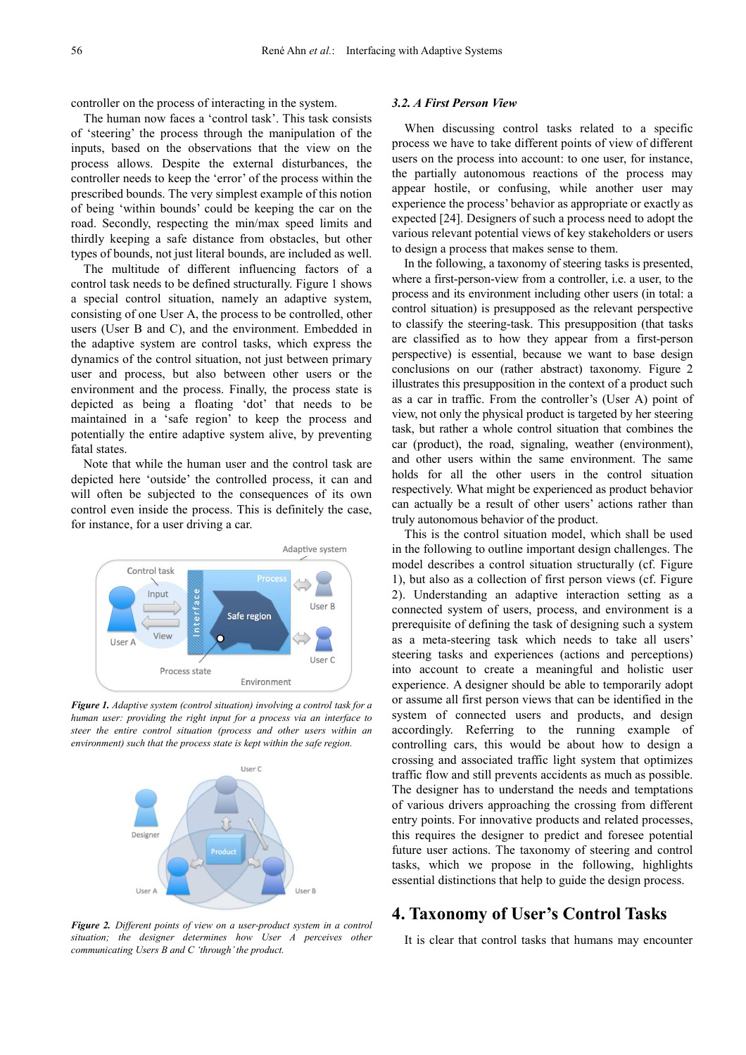controller on the process of interacting in the system.

The human now faces a 'control task'. This task consists of 'steering' the process through the manipulation of the inputs, based on the observations that the view on the process allows. Despite the external disturbances, the controller needs to keep the 'error' of the process within the prescribed bounds. The very simplest example of this notion of being 'within bounds' could be keeping the car on the road. Secondly, respecting the min/max speed limits and thirdly keeping a safe distance from obstacles, but other types of bounds, not just literal bounds, are included as well.

The multitude of different influencing factors of a control task needs to be defined structurally. Figure 1 shows a special control situation, namely an adaptive system, consisting of one User A, the process to be controlled, other users (User B and C), and the environment. Embedded in the adaptive system are control tasks, which express the dynamics of the control situation, not just between primary user and process, but also between other users or the environment and the process. Finally, the process state is depicted as being a floating 'dot' that needs to be maintained in a 'safe region' to keep the process and potentially the entire adaptive system alive, by preventing fatal states.

Note that while the human user and the control task are depicted here 'outside' the controlled process, it can and will often be subjected to the consequences of its own control even inside the process. This is definitely the case, for instance, for a user driving a car.



*Figure 1. Adaptive system (control situation) involving a control task for a human user: providing the right input for a process via an interface to steer the entire control situation (process and other users within an environment) such that the process state is kept within the safe region.* 



*Figure 2. Different points of view on a user-product system in a control situation; the designer determines how User A perceives other communicating Users B and C 'through' the product.* 

#### *3.2. A First Person View*

When discussing control tasks related to a specific process we have to take different points of view of different users on the process into account: to one user, for instance, the partially autonomous reactions of the process may appear hostile, or confusing, while another user may experience the process' behavior as appropriate or exactly as expected [24]. Designers of such a process need to adopt the various relevant potential views of key stakeholders or users to design a process that makes sense to them.

In the following, a taxonomy of steering tasks is presented, where a first-person-view from a controller, i.e. a user, to the process and its environment including other users (in total: a control situation) is presupposed as the relevant perspective to classify the steering-task. This presupposition (that tasks are classified as to how they appear from a first-person perspective) is essential, because we want to base design conclusions on our (rather abstract) taxonomy. Figure 2 illustrates this presupposition in the context of a product such as a car in traffic. From the controller's (User A) point of view, not only the physical product is targeted by her steering task, but rather a whole control situation that combines the car (product), the road, signaling, weather (environment), and other users within the same environment. The same holds for all the other users in the control situation respectively. What might be experienced as product behavior can actually be a result of other users' actions rather than truly autonomous behavior of the product.

This is the control situation model, which shall be used in the following to outline important design challenges. The model describes a control situation structurally (cf. Figure 1), but also as a collection of first person views (cf. Figure 2). Understanding an adaptive interaction setting as a connected system of users, process, and environment is a prerequisite of defining the task of designing such a system as a meta-steering task which needs to take all users' steering tasks and experiences (actions and perceptions) into account to create a meaningful and holistic user experience. A designer should be able to temporarily adopt or assume all first person views that can be identified in the system of connected users and products, and design accordingly. Referring to the running example of controlling cars, this would be about how to design a crossing and associated traffic light system that optimizes traffic flow and still prevents accidents as much as possible. The designer has to understand the needs and temptations of various drivers approaching the crossing from different entry points. For innovative products and related processes, this requires the designer to predict and foresee potential future user actions. The taxonomy of steering and control tasks, which we propose in the following, highlights essential distinctions that help to guide the design process.

# **4. Taxonomy of User's Control Tasks**

It is clear that control tasks that humans may encounter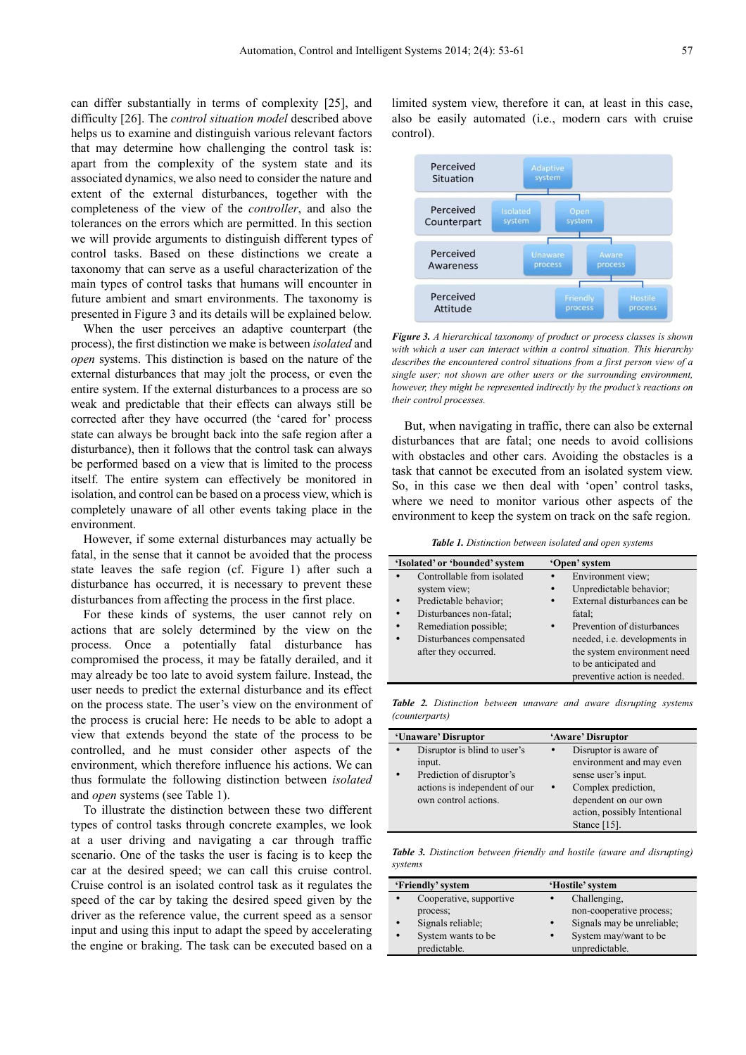can differ substantially in terms of complexity [25], and difficulty [26]. The *control situation model* described above helps us to examine and distinguish various relevant factors that may determine how challenging the control task is: apart from the complexity of the system state and its associated dynamics, we also need to consider the nature and extent of the external disturbances, together with the completeness of the view of the *controller*, and also the tolerances on the errors which are permitted. In this section we will provide arguments to distinguish different types of control tasks. Based on these distinctions we create a taxonomy that can serve as a useful characterization of the main types of control tasks that humans will encounter in future ambient and smart environments. The taxonomy is presented in Figure 3 and its details will be explained below.

When the user perceives an adaptive counterpart (the process), the first distinction we make is between *isolated* and *open* systems. This distinction is based on the nature of the external disturbances that may jolt the process, or even the entire system. If the external disturbances to a process are so weak and predictable that their effects can always still be corrected after they have occurred (the 'cared for' process state can always be brought back into the safe region after a disturbance), then it follows that the control task can always be performed based on a view that is limited to the process itself. The entire system can effectively be monitored in isolation, and control can be based on a process view, which is completely unaware of all other events taking place in the environment.

However, if some external disturbances may actually be fatal, in the sense that it cannot be avoided that the process state leaves the safe region (cf. Figure 1) after such a disturbance has occurred, it is necessary to prevent these disturbances from affecting the process in the first place.

For these kinds of systems, the user cannot rely on actions that are solely determined by the view on the process. Once a potentially fatal disturbance has compromised the process, it may be fatally derailed, and it may already be too late to avoid system failure. Instead, the user needs to predict the external disturbance and its effect on the process state. The user's view on the environment of the process is crucial here: He needs to be able to adopt a view that extends beyond the state of the process to be controlled, and he must consider other aspects of the environment, which therefore influence his actions. We can thus formulate the following distinction between *isolated* and *open* systems (see Table 1).

To illustrate the distinction between these two different types of control tasks through concrete examples, we look at a user driving and navigating a car through traffic scenario. One of the tasks the user is facing is to keep the car at the desired speed; we can call this cruise control. Cruise control is an isolated control task as it regulates the speed of the car by taking the desired speed given by the driver as the reference value, the current speed as a sensor input and using this input to adapt the speed by accelerating the engine or braking. The task can be executed based on a

limited system view, therefore it can, at least in this case, also be easily automated (i.e., modern cars with cruise control).



*Figure 3. A hierarchical taxonomy of product or process classes is shown with which a user can interact within a control situation. This hierarchy describes the encountered control situations from a first person view of a single user; not shown are other users or the surrounding environment, however, they might be represented indirectly by the product's reactions on their control processes.* 

But, when navigating in traffic, there can also be external disturbances that are fatal; one needs to avoid collisions with obstacles and other cars. Avoiding the obstacles is a task that cannot be executed from an isolated system view. So, in this case we then deal with 'open' control tasks, where we need to monitor various other aspects of the environment to keep the system on track on the safe region.

*Table 1. Distinction between isolated and open systems* 

| 'Isolated' or 'bounded' system |                            | 'Open' system |                                     |
|--------------------------------|----------------------------|---------------|-------------------------------------|
|                                | Controllable from isolated |               | Environment view;                   |
|                                | system view;               | $\bullet$     | Unpredictable behavior;             |
|                                | Predictable behavior;      | $\bullet$     | External disturbances can be        |
|                                | Disturbances non-fatal;    |               | fatal:                              |
|                                | Remediation possible;      |               | Prevention of disturbances          |
|                                | Disturbances compensated   |               | needed, <i>i.e.</i> developments in |
|                                | after they occurred.       |               | the system environment need         |
|                                |                            |               | to be anticipated and               |
|                                |                            |               | preventive action is needed.        |

*Table 2. Distinction between unaware and aware disrupting systems (counterparts)* 

| 'Unaware' Disruptor |                               | 'Aware' Disruptor            |  |
|---------------------|-------------------------------|------------------------------|--|
|                     | Disruptor is blind to user's  | Disruptor is aware of        |  |
|                     | input.                        | environment and may even     |  |
|                     | Prediction of disruptor's     | sense user's input.          |  |
|                     | actions is independent of our | Complex prediction,          |  |
|                     | own control actions.          | dependent on our own         |  |
|                     |                               | action, possibly Intentional |  |
|                     |                               | Stance $[15]$ .              |  |

*Table 3. Distinction between friendly and hostile (aware and disrupting) systems* 

| 'Friendly' system |                         |           | 'Hostile' system           |  |
|-------------------|-------------------------|-----------|----------------------------|--|
|                   | Cooperative, supportive |           | Challenging.               |  |
|                   | process;                |           | non-cooperative process;   |  |
|                   | Signals reliable;       | $\bullet$ | Signals may be unreliable; |  |
|                   | System wants to be      | $\bullet$ | System may/want to be      |  |
|                   | predictable.            |           | unpredictable.             |  |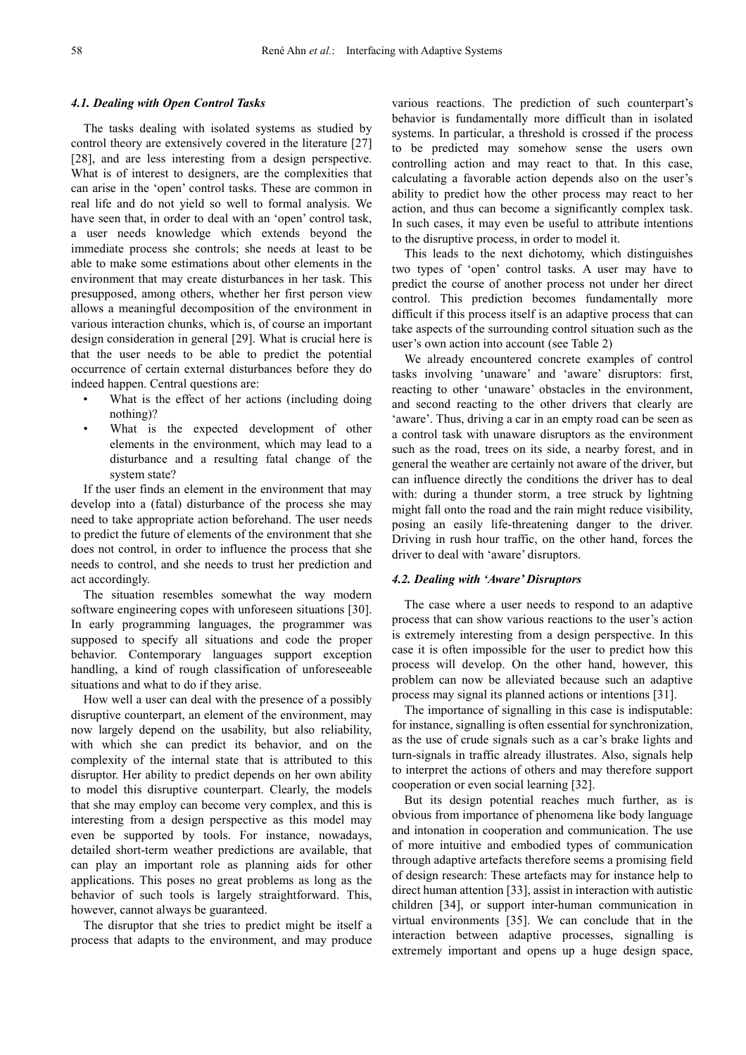#### *4.1. Dealing with Open Control Tasks*

The tasks dealing with isolated systems as studied by control theory are extensively covered in the literature [27] [28], and are less interesting from a design perspective. What is of interest to designers, are the complexities that can arise in the 'open' control tasks. These are common in real life and do not yield so well to formal analysis. We have seen that, in order to deal with an 'open' control task, a user needs knowledge which extends beyond the immediate process she controls; she needs at least to be able to make some estimations about other elements in the environment that may create disturbances in her task. This presupposed, among others, whether her first person view allows a meaningful decomposition of the environment in various interaction chunks, which is, of course an important design consideration in general [29]. What is crucial here is that the user needs to be able to predict the potential occurrence of certain external disturbances before they do indeed happen. Central questions are:

- What is the effect of her actions (including doing nothing)?
- What is the expected development of other elements in the environment, which may lead to a disturbance and a resulting fatal change of the system state?

If the user finds an element in the environment that may develop into a (fatal) disturbance of the process she may need to take appropriate action beforehand. The user needs to predict the future of elements of the environment that she does not control, in order to influence the process that she needs to control, and she needs to trust her prediction and act accordingly.

The situation resembles somewhat the way modern software engineering copes with unforeseen situations [30]. In early programming languages, the programmer was supposed to specify all situations and code the proper behavior. Contemporary languages support exception handling, a kind of rough classification of unforeseeable situations and what to do if they arise.

How well a user can deal with the presence of a possibly disruptive counterpart, an element of the environment, may now largely depend on the usability, but also reliability, with which she can predict its behavior, and on the complexity of the internal state that is attributed to this disruptor. Her ability to predict depends on her own ability to model this disruptive counterpart. Clearly, the models that she may employ can become very complex, and this is interesting from a design perspective as this model may even be supported by tools. For instance, nowadays, detailed short-term weather predictions are available, that can play an important role as planning aids for other applications. This poses no great problems as long as the behavior of such tools is largely straightforward. This, however, cannot always be guaranteed.

The disruptor that she tries to predict might be itself a process that adapts to the environment, and may produce various reactions. The prediction of such counterpart's behavior is fundamentally more difficult than in isolated systems. In particular, a threshold is crossed if the process to be predicted may somehow sense the users own controlling action and may react to that. In this case, calculating a favorable action depends also on the user's ability to predict how the other process may react to her action, and thus can become a significantly complex task. In such cases, it may even be useful to attribute intentions to the disruptive process, in order to model it.

This leads to the next dichotomy, which distinguishes two types of 'open' control tasks. A user may have to predict the course of another process not under her direct control. This prediction becomes fundamentally more difficult if this process itself is an adaptive process that can take aspects of the surrounding control situation such as the user's own action into account (see Table 2)

We already encountered concrete examples of control tasks involving 'unaware' and 'aware' disruptors: first, reacting to other 'unaware' obstacles in the environment, and second reacting to the other drivers that clearly are 'aware'. Thus, driving a car in an empty road can be seen as a control task with unaware disruptors as the environment such as the road, trees on its side, a nearby forest, and in general the weather are certainly not aware of the driver, but can influence directly the conditions the driver has to deal with: during a thunder storm, a tree struck by lightning might fall onto the road and the rain might reduce visibility, posing an easily life-threatening danger to the driver. Driving in rush hour traffic, on the other hand, forces the driver to deal with 'aware' disruptors.

#### *4.2. Dealing with 'Aware' Disruptors*

The case where a user needs to respond to an adaptive process that can show various reactions to the user's action is extremely interesting from a design perspective. In this case it is often impossible for the user to predict how this process will develop. On the other hand, however, this problem can now be alleviated because such an adaptive process may signal its planned actions or intentions [31].

The importance of signalling in this case is indisputable: for instance, signalling is often essential for synchronization, as the use of crude signals such as a car's brake lights and turn-signals in traffic already illustrates. Also, signals help to interpret the actions of others and may therefore support cooperation or even social learning [32].

But its design potential reaches much further, as is obvious from importance of phenomena like body language and intonation in cooperation and communication. The use of more intuitive and embodied types of communication through adaptive artefacts therefore seems a promising field of design research: These artefacts may for instance help to direct human attention [33], assist in interaction with autistic children [34], or support inter-human communication in virtual environments [35]. We can conclude that in the interaction between adaptive processes, signalling is extremely important and opens up a huge design space,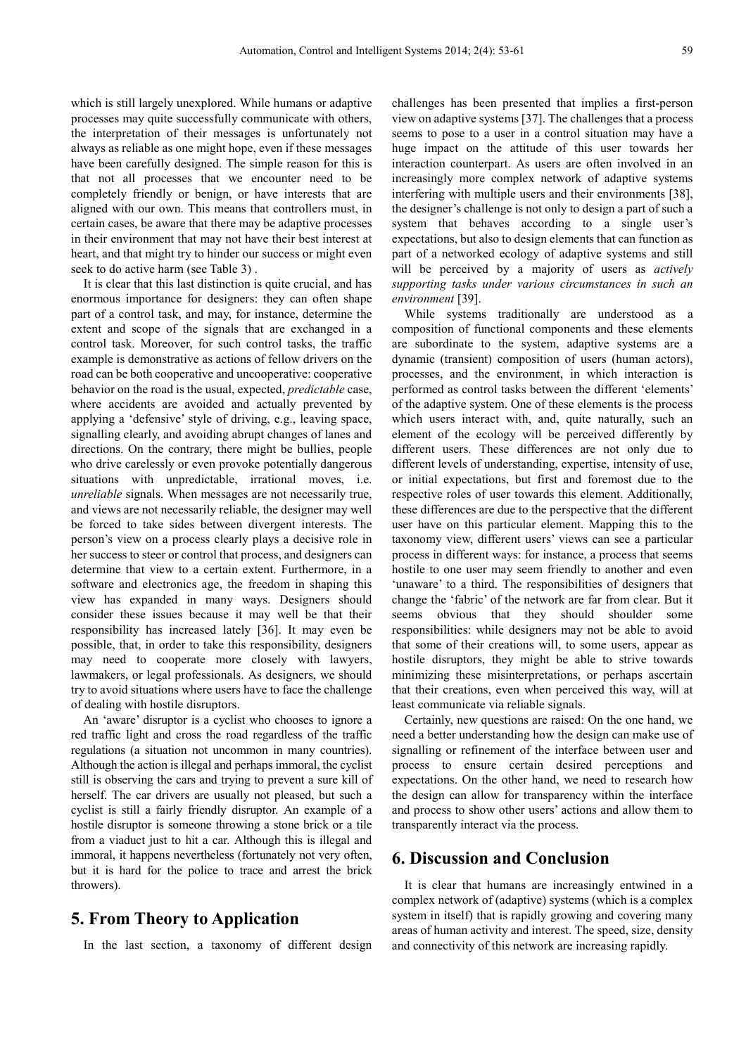which is still largely unexplored. While humans or adaptive processes may quite successfully communicate with others, the interpretation of their messages is unfortunately not always as reliable as one might hope, even if these messages have been carefully designed. The simple reason for this is that not all processes that we encounter need to be completely friendly or benign, or have interests that are aligned with our own. This means that controllers must, in certain cases, be aware that there may be adaptive processes in their environment that may not have their best interest at heart, and that might try to hinder our success or might even seek to do active harm (see Table 3) .

It is clear that this last distinction is quite crucial, and has enormous importance for designers: they can often shape part of a control task, and may, for instance, determine the extent and scope of the signals that are exchanged in a control task. Moreover, for such control tasks, the traffic example is demonstrative as actions of fellow drivers on the road can be both cooperative and uncooperative: cooperative behavior on the road is the usual, expected, *predictable* case, where accidents are avoided and actually prevented by applying a 'defensive' style of driving, e.g., leaving space, signalling clearly, and avoiding abrupt changes of lanes and directions. On the contrary, there might be bullies, people who drive carelessly or even provoke potentially dangerous situations with unpredictable, irrational moves, i.e. *unreliable* signals. When messages are not necessarily true, and views are not necessarily reliable, the designer may well be forced to take sides between divergent interests. The person's view on a process clearly plays a decisive role in her success to steer or control that process, and designers can determine that view to a certain extent. Furthermore, in a software and electronics age, the freedom in shaping this view has expanded in many ways. Designers should consider these issues because it may well be that their responsibility has increased lately [36]. It may even be possible, that, in order to take this responsibility, designers may need to cooperate more closely with lawyers, lawmakers, or legal professionals. As designers, we should try to avoid situations where users have to face the challenge of dealing with hostile disruptors.

An 'aware' disruptor is a cyclist who chooses to ignore a red traffic light and cross the road regardless of the traffic regulations (a situation not uncommon in many countries). Although the action is illegal and perhaps immoral, the cyclist still is observing the cars and trying to prevent a sure kill of herself. The car drivers are usually not pleased, but such a cyclist is still a fairly friendly disruptor. An example of a hostile disruptor is someone throwing a stone brick or a tile from a viaduct just to hit a car. Although this is illegal and immoral, it happens nevertheless (fortunately not very often, but it is hard for the police to trace and arrest the brick throwers).

# **5. From Theory to Application**

In the last section, a taxonomy of different design

challenges has been presented that implies a first-person view on adaptive systems [37]. The challenges that a process seems to pose to a user in a control situation may have a huge impact on the attitude of this user towards her interaction counterpart. As users are often involved in an increasingly more complex network of adaptive systems interfering with multiple users and their environments [38], the designer's challenge is not only to design a part of such a system that behaves according to a single user's expectations, but also to design elements that can function as part of a networked ecology of adaptive systems and still will be perceived by a majority of users as *actively supporting tasks under various circumstances in such an environment* [39].

While systems traditionally are understood as a composition of functional components and these elements are subordinate to the system, adaptive systems are a dynamic (transient) composition of users (human actors), processes, and the environment, in which interaction is performed as control tasks between the different 'elements' of the adaptive system. One of these elements is the process which users interact with, and, quite naturally, such an element of the ecology will be perceived differently by different users. These differences are not only due to different levels of understanding, expertise, intensity of use, or initial expectations, but first and foremost due to the respective roles of user towards this element. Additionally, these differences are due to the perspective that the different user have on this particular element. Mapping this to the taxonomy view, different users' views can see a particular process in different ways: for instance, a process that seems hostile to one user may seem friendly to another and even 'unaware' to a third. The responsibilities of designers that change the 'fabric' of the network are far from clear. But it seems obvious that they should shoulder some responsibilities: while designers may not be able to avoid that some of their creations will, to some users, appear as hostile disruptors, they might be able to strive towards minimizing these misinterpretations, or perhaps ascertain that their creations, even when perceived this way, will at least communicate via reliable signals.

Certainly, new questions are raised: On the one hand, we need a better understanding how the design can make use of signalling or refinement of the interface between user and process to ensure certain desired perceptions and expectations. On the other hand, we need to research how the design can allow for transparency within the interface and process to show other users' actions and allow them to transparently interact via the process.

# **6. Discussion and Conclusion**

It is clear that humans are increasingly entwined in a complex network of (adaptive) systems (which is a complex system in itself) that is rapidly growing and covering many areas of human activity and interest. The speed, size, density and connectivity of this network are increasing rapidly.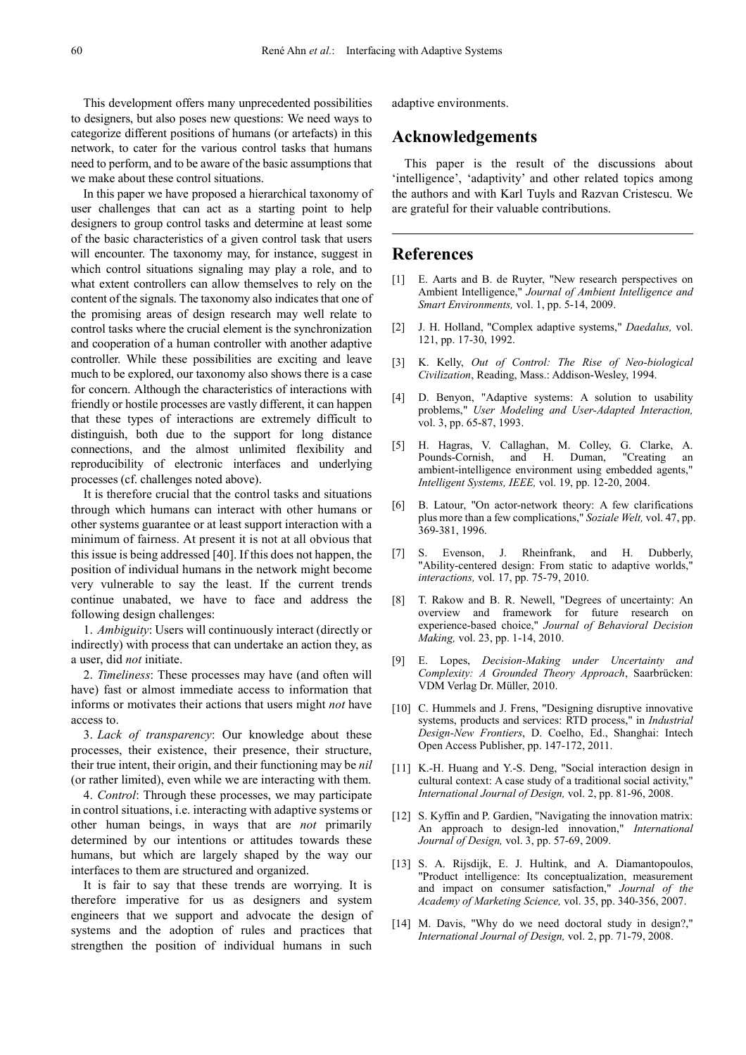This development offers many unprecedented possibilities to designers, but also poses new questions: We need ways to categorize different positions of humans (or artefacts) in this network, to cater for the various control tasks that humans need to perform, and to be aware of the basic assumptions that we make about these control situations.

In this paper we have proposed a hierarchical taxonomy of user challenges that can act as a starting point to help designers to group control tasks and determine at least some of the basic characteristics of a given control task that users will encounter. The taxonomy may, for instance, suggest in which control situations signaling may play a role, and to what extent controllers can allow themselves to rely on the content of the signals. The taxonomy also indicates that one of the promising areas of design research may well relate to control tasks where the crucial element is the synchronization and cooperation of a human controller with another adaptive controller. While these possibilities are exciting and leave much to be explored, our taxonomy also shows there is a case for concern. Although the characteristics of interactions with friendly or hostile processes are vastly different, it can happen that these types of interactions are extremely difficult to distinguish, both due to the support for long distance connections, and the almost unlimited flexibility and reproducibility of electronic interfaces and underlying processes (cf. challenges noted above).

It is therefore crucial that the control tasks and situations through which humans can interact with other humans or other systems guarantee or at least support interaction with a minimum of fairness. At present it is not at all obvious that this issue is being addressed [40]. If this does not happen, the position of individual humans in the network might become very vulnerable to say the least. If the current trends continue unabated, we have to face and address the following design challenges:

1. *Ambiguity*: Users will continuously interact (directly or indirectly) with process that can undertake an action they, as a user, did *not* initiate.

2. *Timeliness*: These processes may have (and often will have) fast or almost immediate access to information that informs or motivates their actions that users might *not* have access to.

3. *Lack of transparency*: Our knowledge about these processes, their existence, their presence, their structure, their true intent, their origin, and their functioning may be *nil* (or rather limited), even while we are interacting with them.

4. *Control*: Through these processes, we may participate in control situations, i.e. interacting with adaptive systems or other human beings, in ways that are *not* primarily determined by our intentions or attitudes towards these humans, but which are largely shaped by the way our interfaces to them are structured and organized.

It is fair to say that these trends are worrying. It is therefore imperative for us as designers and system engineers that we support and advocate the design of systems and the adoption of rules and practices that strengthen the position of individual humans in such

adaptive environments.

# **Acknowledgements**

This paper is the result of the discussions about 'intelligence', 'adaptivity' and other related topics among the authors and with Karl Tuyls and Razvan Cristescu. We are grateful for their valuable contributions.

### **References**

- [1] E. Aarts and B. de Ruyter, "New research perspectives on Ambient Intelligence," *Journal of Ambient Intelligence and Smart Environments,* vol. 1, pp. 5-14, 2009.
- [2] J. H. Holland, "Complex adaptive systems," *Daedalus,* vol. 121, pp. 17-30, 1992.
- [3] K. Kelly, *Out of Control: The Rise of Neo-biological Civilization*, Reading, Mass.: Addison-Wesley, 1994.
- [4] D. Benyon, "Adaptive systems: A solution to usability problems," *User Modeling and User-Adapted Interaction,*  vol. 3, pp. 65-87, 1993.
- [5] H. Hagras, V. Callaghan, M. Colley, G. Clarke, A. Pounds-Cornish, and H. Duman, "Creating an ambient-intelligence environment using embedded agents," *Intelligent Systems, IEEE,* vol. 19, pp. 12-20, 2004.
- [6] B. Latour, "On actor-network theory: A few clarifications plus more than a few complications," *Soziale Welt,* vol. 47, pp. 369-381, 1996.
- [7] S. Evenson, J. Rheinfrank, and H. Dubberly, "Ability-centered design: From static to adaptive worlds," *interactions,* vol. 17, pp. 75-79, 2010.
- [8] T. Rakow and B. R. Newell, "Degrees of uncertainty: An overview and framework for future research on experience-based choice," *Journal of Behavioral Decision Making,* vol. 23, pp. 1-14, 2010.
- [9] E. Lopes, *Decision-Making under Uncertainty and Complexity: A Grounded Theory Approach*, Saarbrücken: VDM Verlag Dr. Müller, 2010.
- [10] C. Hummels and J. Frens, "Designing disruptive innovative systems, products and services: RTD process," in *Industrial Design-New Frontiers*, D. Coelho, Ed., Shanghai: Intech Open Access Publisher, pp. 147-172, 2011.
- [11] K.-H. Huang and Y.-S. Deng, "Social interaction design in cultural context: A case study of a traditional social activity," *International Journal of Design,* vol. 2, pp. 81-96, 2008.
- [12] S. Kyffin and P. Gardien, "Navigating the innovation matrix: An approach to design-led innovation," *International Journal of Design,* vol. 3, pp. 57-69, 2009.
- [13] S. A. Rijsdijk, E. J. Hultink, and A. Diamantopoulos, "Product intelligence: Its conceptualization, measurement and impact on consumer satisfaction," *Journal of the Academy of Marketing Science,* vol. 35, pp. 340-356, 2007.
- [14] M. Davis, "Why do we need doctoral study in design?," *International Journal of Design,* vol. 2, pp. 71-79, 2008.